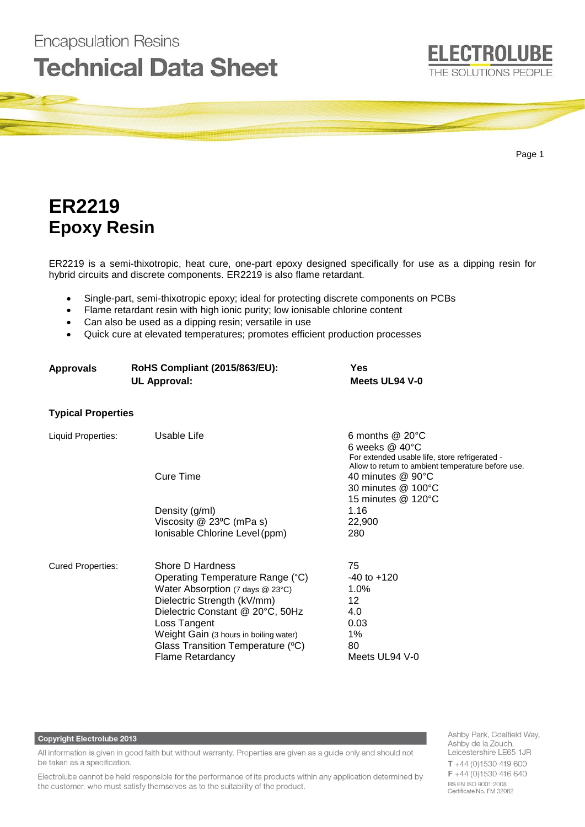## **ELECTROLUBE Technical Data Sheet** THE SOLUTIONS PEOPLE

Page 1

# **ER2219 Epoxy Resin**

**Encapsulation Resins** 

ER2219 is a semi-thixotropic, heat cure, one-part epoxy designed specifically for use as a dipping resin for hybrid circuits and discrete components. ER2219 is also flame retardant.

- Single-part, semi-thixotropic epoxy; ideal for protecting discrete components on PCBs
- Flame retardant resin with high ionic purity; low ionisable chlorine content
- Can also be used as a dipping resin; versatile in use
- Quick cure at elevated temperatures; promotes efficient production processes

| <b>Approvals</b>          | <b>RoHS Compliant (2015/863/EU):</b><br><b>UL Approval:</b> | Yes<br>Meets UL94 V-0                                                                                               |
|---------------------------|-------------------------------------------------------------|---------------------------------------------------------------------------------------------------------------------|
| <b>Typical Properties</b> |                                                             |                                                                                                                     |
| Liquid Properties:        | Usable Life                                                 | 6 months $@$ 20 $°C$<br>6 weeks $@$ 40 $°C$<br>For extended usable life, store refrigerated -                       |
|                           | Cure Time                                                   | Allow to return to ambient temperature before use.<br>40 minutes @ 90°C<br>30 minutes @ 100°C<br>15 minutes @ 120°C |
|                           | Density (g/ml)                                              | 1.16                                                                                                                |
|                           | Viscosity @ 23°C (mPa s)                                    | 22,900                                                                                                              |
|                           | Ionisable Chlorine Level (ppm)                              | 280                                                                                                                 |
| <b>Cured Properties:</b>  | Shore D Hardness                                            | 75                                                                                                                  |
|                           | Operating Temperature Range (°C)                            | $-40$ to $+120$                                                                                                     |
|                           | Water Absorption (7 days $@$ 23 $°C$ )                      | 1.0%                                                                                                                |
|                           | Dielectric Strength (kV/mm)                                 | 12                                                                                                                  |
|                           | Dielectric Constant @ 20°C, 50Hz<br>Loss Tangent            | 4.0<br>0.03                                                                                                         |
|                           | Weight Gain (3 hours in boiling water)                      | 1%                                                                                                                  |
|                           | Glass Transition Temperature (°C)                           | 80                                                                                                                  |
|                           | <b>Flame Retardancy</b>                                     | Meets UL94 V-0                                                                                                      |
|                           |                                                             |                                                                                                                     |

### **Copyright Electrolube 2013**

All information is given in good faith but without warranty. Properties are given as a guide only and should not be taken as a specification.

Electrolube cannot be held responsible for the performance of its products within any application determined by the customer, who must satisfy themselves as to the suitability of the product.

Ashby Park, Coalfield Way, Ashby de la Zouch, Leicestershire LE65 1JR  $T + 44$  (0)1530 419 600 F +44 (0)1530 416 640 BS EN ISO 9001:2008 Certificate No. FM 32082